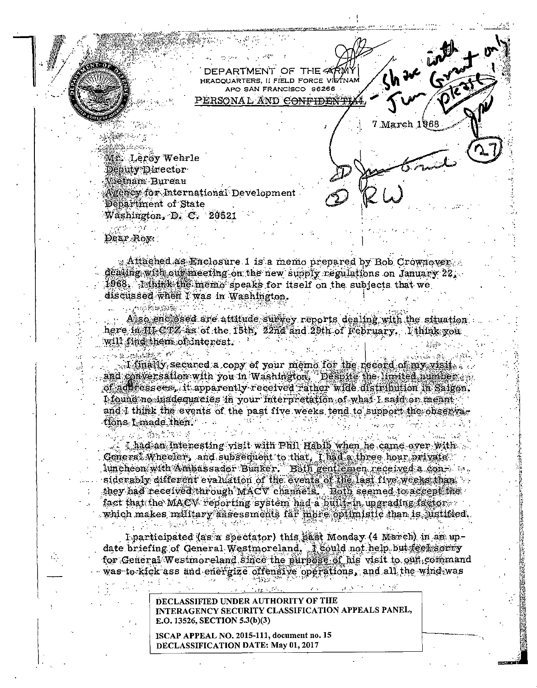$\frac{1}{\sqrt{2}}$ DEPARTMENT OF THE 4 HEADOUARTERS, II FIELD FORCE VIETNAM APO SAN FRANCISCO 96266 PERSONAL AND <del>CONFIDEN</del> 7 March 1968 Mr. Leroy Wehrle Deputy Director **Wietnam Bureau**  $\Lambda$ gency for International Development Department of State Washington, D. C. 20521

Dear Roy: :

 $\sim$   $\approx$   $\approx$   $\approx$   $\approx$ 

**人名德地利**女子名

Affected as Enclosure 1 is a memo prepared by Bob Crownover. dealing with our meeting on the new supply regulations on January 22, 1968. I think the memo speaks for itself on the subjects that we discussed when I was in Washington.

Also enclosed are attitude survey reports dealing with the situation here in fit CTZ as of the 15th, 22nd and 29th of February. I think you will find them of interest.

. I finally secured a copy of your memo for the record of my visit. and conversation with you in Washington. Despite the limited number ... of addressees, it apparently received rather wide distribution in Salgon. I found no inadequacies in your interpretation of what I said or meant and I think the events of the past five weeks tend to support the observations Lmade then.

I had an Interesting visit with Phil Habib when he came over with General Wheeler, and subsequent to that, I had a three hour private luncheon with Ambassador Bunker. Both gentlemen received a considerably different evaluation of the events of the last five weeks than they had received through MACV channels. Both seemed to accept the fact that the MACV reporting system had a built-in upgrading factor which makes military assessments far more optimistic than is justified.

I participated (as a spectator) this past Monday (4 March) in an update briefing of General Westmoreland. I could not help but feet sorry for General Westmoreland since the purpose of his visit to our command was to kick ass and energize offensive operations, and all the wind was

> DECLASSIFIED UNDER AUTHORITY OF THE INTERAGENCY SECURITY CLASSIFICATION APPEALS PANEL, E.O. 13526, SECTION 5.3(b)(3)

ISCAP APPEAL NO. 2015-111, document no. 15 DECLASSIFICATION DATE: May 01, 2017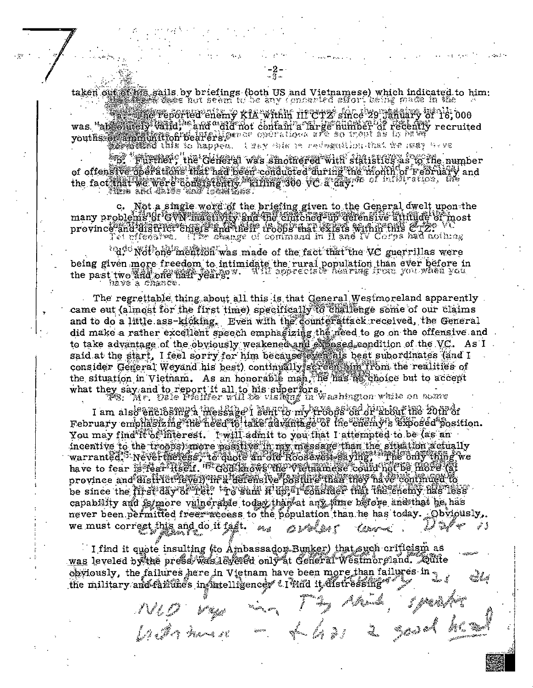taken out of high sails by briefings (both US and Vietnamese) which indicated to him:<br>which in the contract of the any concerted effort being made in the

**state reported chemy kia within ni crz since zo january of 1'è, 000** was "absolutely valid," and "aid not contain a large author of recently recruited

A WER SHEET IN THE MORELLINE THAT THE HUNDER **Commissed this to happen.** 

**Signal Advisors** (the General was smothered with statistics as to the number of offensive oberations inaring been conducted during the month of February and<br>the fact that we were consistently waiting 300 vc. a day. It of influence, the

c. Not a single word of the briefing given to the General dwelt upon the<br>many problems of GWN mactivity and the clutched-up defensive attitude of most province and district chiefs and their troops that exists within this CT2: Vi

 $"d$ . Not one mention was made of the fact that the VC guerrillas were being given more freedom to intimidate the rural population than ever before in<br>the past two sod one way was well appreciate hearing from you when you the past two and one hair years.

The regrettable thing about all this is that General Westmoreland apparently came out (almost for the first time) specifically to challenge some of our claims and to do a little ass-kicking. Even with the counterattack received, the General did make a rather excellent speech emphasizing the need to go on the offensive and to take advantage of the obviously weakened and exposed condition of the VC. As I<br>said at the start, I feel sorry for him because exercise has been subordinates (and I consider General Weyand his best) continually sereen him from the realities of the situation in Vietnam. As an honorable man, he has no choice but to accept what they say and to report it all to his superfors. Washington while on some wave

I am also enclosing a message i sent to my troops on or about the 20th of

February emphasiz mg The heed to take advantage of the enemy's exposed position. You may find it of interest. I will admit to you that I attempted to be (as an incentive to the troops) more positive in my message than the situation actually warranted. Nevertheless, to quote an old Roosevell saying, The only thing we have to fear is fear lised. In God knows the wielnamese could not be more (at province and district level) in a defensive positive than they have continued to be since the first day of fet: 'To sam filip, I consider that the enemy has less' capability and is more vainerable today than at any time before anothat he has never been permitted freer access to the population than he has today. Obviously, we must correct this and do it fast.  $\epsilon_{\text{avg}}$ Av Mart

I find it quote insulting (to Ambassador Bunker) that such crificism as was leveled by the press was leveled only at General Westmoreland. Quite obviously, the failures here in Vietnam have been more than failures in the military and failures in fintelligences a limit it distressing us gaadu

NUD Vega man 1 mg pm